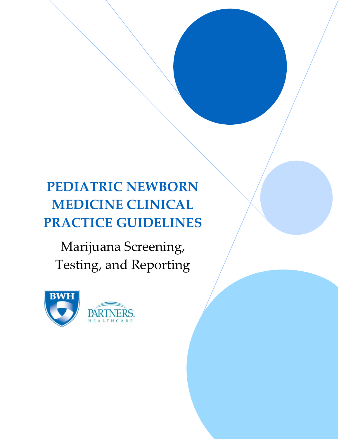# **PEDIATRIC NEWBORN MEDICINE CLINICAL PRACTICE GUIDELINES**

Marijuana Screening, Testing, and Reporting

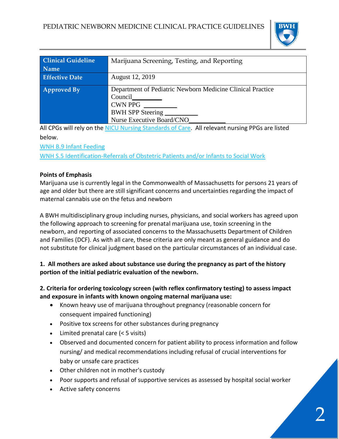

| <b>Clinical Guideline</b> | Marijuana Screening, Testing, and Reporting                                                                                              |
|---------------------------|------------------------------------------------------------------------------------------------------------------------------------------|
| <b>Name</b>               |                                                                                                                                          |
| <b>Effective Date</b>     | August 12, 2019                                                                                                                          |
| <b>Approved By</b>        | Department of Pediatric Newborn Medicine Clinical Practice<br>Council<br><b>CWN PPG</b><br>BWH SPP Steering<br>Nurse Executive Board/CNO |

All CPGs will rely on th[e NICU Nursing Standards of Care.](http://www.bwhpikenotes.org/policies/Nursing/CWN_Clinical_Practice_Manual/NICU/NICU_Standards.pdf) All relevant nursing PPGs are listed below.

[WNH B.9 Infant Feeding](https://hospitalpolicies.ellucid.com/documents/view/9605/active/)

[WNH S.5 Identification-Referrals of Obstetric Patients and/or Infants to Social Work](https://hospitalpolicies.ellucid.com/documents/view/3313/active/)

### **Points of Emphasis**

Marijuana use is currently legal in the Commonwealth of Massachusetts for persons 21 years of age and older but there are still significant concerns and uncertainties regarding the impact of maternal cannabis use on the fetus and newborn

A BWH multidisciplinary group including nurses, physicians, and social workers has agreed upon the following approach to screening for prenatal marijuana use, toxin screening in the newborn, and reporting of associated concerns to the Massachusetts Department of Children and Families (DCF). As with all care, these criteria are only meant as general guidance and do not substitute for clinical judgment based on the particular circumstances of an individual case.

# **1. All mothers are asked about substance use during the pregnancy as part of the history portion of the initial pediatric evaluation of the newborn.**

# **2. Criteria for ordering toxicology screen (with reflex confirmatory testing) to assess impact and exposure in infants with known ongoing maternal marijuana use:**

- Known heavy use of marijuana throughout pregnancy (reasonable concern for consequent impaired functioning)
- Positive tox screens for other substances during pregnancy
- Limited prenatal care (< 5 visits)
- Observed and documented concern for patient ability to process information and follow nursing/ and medical recommendations including refusal of crucial interventions for baby or unsafe care practices
- Other children not in mother's custody
- Poor supports and refusal of supportive services as assessed by hospital social worker
- Active safety concerns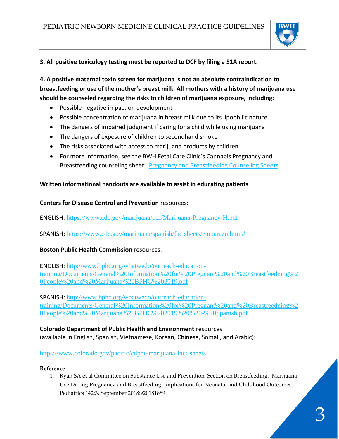

## **3. All positive toxicology testing must be reported to DCF by filing a 51A report.**

**4. A positive maternal toxin screen for marijuana is not an absolute contraindication to breastfeeding or use of the mother's breast milk. All mothers with a history of marijuana use should be counseled regarding the risks to children of marijuana exposure, including:**

- Possible negative impact on development
- Possible concentration of marijuana in breast milk due to its lipophilic nature
- The dangers of impaired judgment if caring for a child while using marijuana
- The dangers of exposure of children to secondhand smoke
- The risks associated with access to marijuana products by children
- For more information, see the BWH Fetal Care Clinic's Cannabis Pregnancy and Breastfeeding counseling sheet: [Pregnancy and Breastfeeding Counseling Sheets](http://www.bwhpikenotes.org/Departments_Centers/NewbornMedicine_NICU/Fetal%20Care%20Program/Drug%20Exposure.aspx)

### **Written informational handouts are available to assist in educating patients**

### **Centers for Disease Control and Prevention** resources:

ENGLISH: <https://www.cdc.gov/marijuana/pdf/Marijuana-Pregnancy-H.pdf>

SPANISH: [https://www.cdc.gov/marijuana/spanish/factsheets/embarazo.html#](https://www.cdc.gov/marijuana/spanish/factsheets/embarazo.html)

## **Boston Public Health Commission** resources:

ENGLISH: [http://www.bphc.org/whatwedo/outreach-education](http://www.bphc.org/whatwedo/outreach-education-training/Documents/General%20Information%20for%20Pregnant%20and%20Breastfeedning%20People%20and%20Marijuana%20BPHC%202019.pdf)[training/Documents/General%20Information%20for%20Pregnant%20and%20Breastfeedning%2](http://www.bphc.org/whatwedo/outreach-education-training/Documents/General%20Information%20for%20Pregnant%20and%20Breastfeedning%20People%20and%20Marijuana%20BPHC%202019.pdf) [0People%20and%20Marijuana%20BPHC%202019.pdf](http://www.bphc.org/whatwedo/outreach-education-training/Documents/General%20Information%20for%20Pregnant%20and%20Breastfeedning%20People%20and%20Marijuana%20BPHC%202019.pdf)

SPANISH: [http://www.bphc.org/whatwedo/outreach-education](http://www.bphc.org/whatwedo/outreach-education-training/Documents/General%20Information%20for%20Pregnant%20and%20Breastfeedning%20People%20and%20Marijuana%20BPHC%202019%20%20-%20Spanish.pdf)[training/Documents/General%20Information%20for%20Pregnant%20and%20Breastfeedning%2](http://www.bphc.org/whatwedo/outreach-education-training/Documents/General%20Information%20for%20Pregnant%20and%20Breastfeedning%20People%20and%20Marijuana%20BPHC%202019%20%20-%20Spanish.pdf) [0People%20and%20Marijuana%20BPHC%202019%20%20-%20Spanish.pdf](http://www.bphc.org/whatwedo/outreach-education-training/Documents/General%20Information%20for%20Pregnant%20and%20Breastfeedning%20People%20and%20Marijuana%20BPHC%202019%20%20-%20Spanish.pdf)

#### **Colorado Department of Public Health and Environment** resources (available in English, Spanish, Vietnamese, Korean, Chinese, Somali, and Arabic):

## <https://www.colorado.gov/pacific/cdphe/marijuana-fact-sheets>

#### **Reference**

1. Ryan SA et al Committee on Substance Use and Prevention, Section on Breastfeeding. Marijuana Use During Pregnancy and Breastfeeding: Implications for Neonatal and Childhood Outcomes. Pediatrics 142:3, September 2018:e20181889.